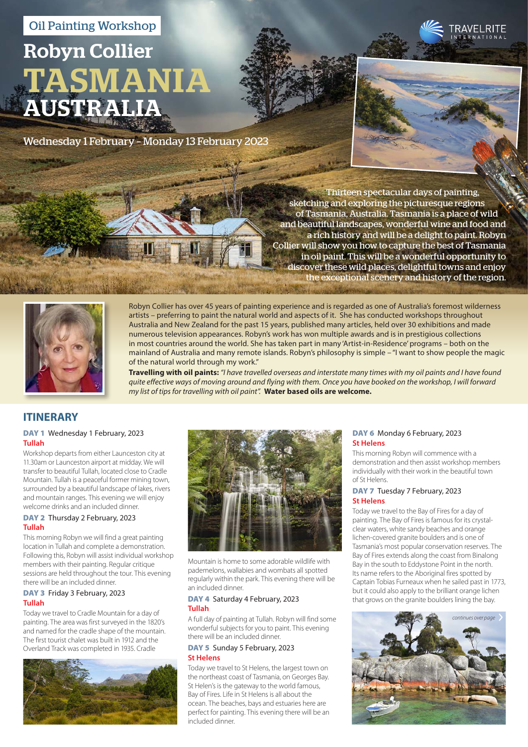# Oil Painting Workshop

# Robyn Collier TASMANIA AUSTRALIA

Wednesday 1 February – Monday 13 February 2023



Thirteen spectacular days of painting, sketching and exploring the picturesque regions of Tasmania, Australia. Tasmania is a place of wild and beautiful landscapes, wonderful wine and food and a rich history and will be a delight to paint. Robyn Collier will show you how to capture the best of Tasmania in oil paint. This will be a wonderful opportunity to discover these wild places, delightful towns and enjoy the exceptional scenery and history of the region.



Robyn Collier has over 45 years of painting experience and is regarded as one of Australia's foremost wilderness artists – preferring to paint the natural world and aspects of it. She has conducted workshops throughout Australia and New Zealand for the past 15 years, published many articles, held over 30 exhibitions and made numerous television appearances. Robyn's work has won multiple awards and is in prestigious collections in most countries around the world. She has taken part in many 'Artist-in-Residence' programs – both on the mainland of Australia and many remote islands. Robyn's philosophy is simple – "I want to show people the magic of the natural world through my work."

**Travelling with oil paints:** *"I have travelled overseas and interstate many times with my oil paints and I have found quite effective ways of moving around and flying with them. Once you have booked on the workshop, I will forward my list of tips for travelling with oil paint".* **Water based oils are welcome.**

# **ITINERARY**

# DAY 1 Wednesday 1 February, 2023 **Tullah**

Workshop departs from either Launceston city at 11.30am or Launceston airport at midday. We will transfer to beautiful Tullah, located close to Cradle Mountain. Tullah is a peaceful former mining town, surrounded by a beautiful landscape of lakes, rivers and mountain ranges. This evening we will enjoy welcome drinks and an included dinner.

# DAY 2 Thursday 2 February, 2023 **Tullah**

This morning Robyn we will find a great painting location in Tullah and complete a demonstration. Following this, Robyn will assist individual workshop members with their painting. Regular critique sessions are held throughout the tour. This evening there will be an included dinner.

# DAY 3 Friday 3 February, 2023 **Tullah**

Today we travel to Cradle Mountain for a day of painting. The area was first surveyed in the 1820's and named for the cradle shape of the mountain. The first tourist chalet was built in 1912 and the Overland Track was completed in 1935. Cradle





Mountain is home to some adorable wildlife with pademelons, wallabies and wombats all spotted regularly within the park. This evening there will be an included dinner.

# DAY 4 Saturday 4 February, 2023 **Tullah**

A full day of painting at Tullah. Robyn will find some wonderful subjects for you to paint. This evening there will be an included dinner.

## DAY 5 Sunday 5 February, 2023 **St Helens**

Today we travel to St Helens, the largest town on the northeast coast of Tasmania, on Georges Bay. St Helen's is the gateway to the world famous, Bay of Fires. Life in St Helens is all about the ocean. The beaches, bays and estuaries here are perfect for painting. This evening there will be an included dinner.

# DAY 6 Monday 6 February, 2023 **St Helens**

This morning Robyn will commence with a demonstration and then assist workshop members individually with their work in the beautiful town of St Helens.

# DAY 7 Tuesday 7 February, 2023 **St Helens**

Today we travel to the Bay of Fires for a day of painting. The Bay of Fires is famous for its crystalclear waters, white sandy beaches and orange lichen-covered granite boulders and is one of Tasmania's most popular conservation reserves. The Bay of Fires extends along the coast from Binalong Bay in the south to Eddystone Point in the north. Its name refers to the Aboriginal fires spotted by Captain Tobias Furneaux when he sailed past in 1773, but it could also apply to the brilliant orange lichen that grows on the granite boulders lining the bay.